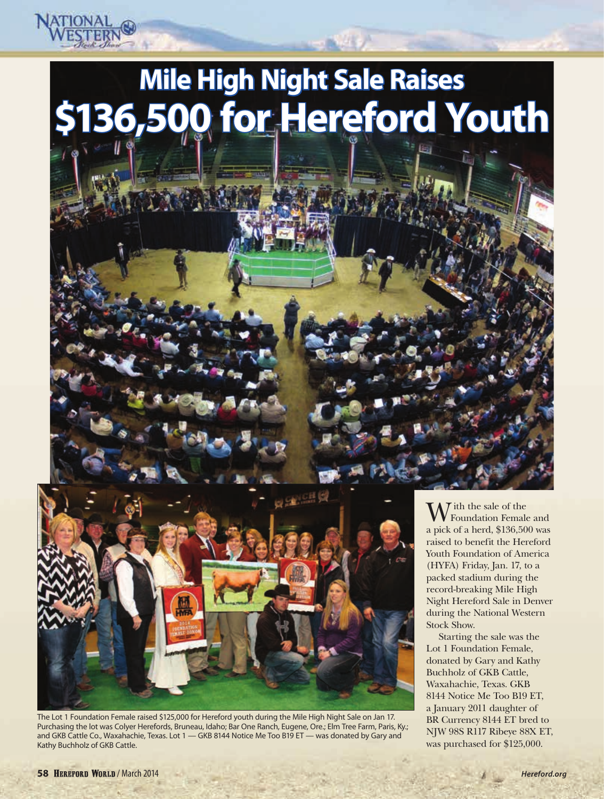## **Mile High Night Sale Raises \$136,500 for Hereford Youth**



The Lot 1 Foundation Female raised \$125,000 for Hereford youth during the Mile High Night Sale on Jan 17. Purchasing the lot was Colyer Herefords, Bruneau, Idaho; Bar One Ranch, Eugene, Ore.; Elm Tree Farm, Paris, Ky.; and GKB Cattle Co., Waxahachie, Texas. Lot 1 — GKB 8144 Notice Me Too B19 ET — was donated by Gary and Kathy Buchholz of GKB Cattle.

 $\overline{\Lambda}$  ith the sale of the Foundation Female and a pick of a herd, \$136,500 was raised to benefit the Hereford Youth Foundation of America (HYFA) Friday, Jan. 17, to a packed stadium during the record-breaking Mile High Night Hereford Sale in Denver during the National Western Stock Show.

Starting the sale was the Lot 1 Foundation Female, donated by Gary and Kathy Buchholz of GKB Cattle, Waxahachie, Texas. GKB 8144 Notice Me Too B19 ET, a January 2011 daughter of BR Currency 8144 ET bred to NJW 98S R117 Ribeye 88X ET, was purchased for \$125,000.